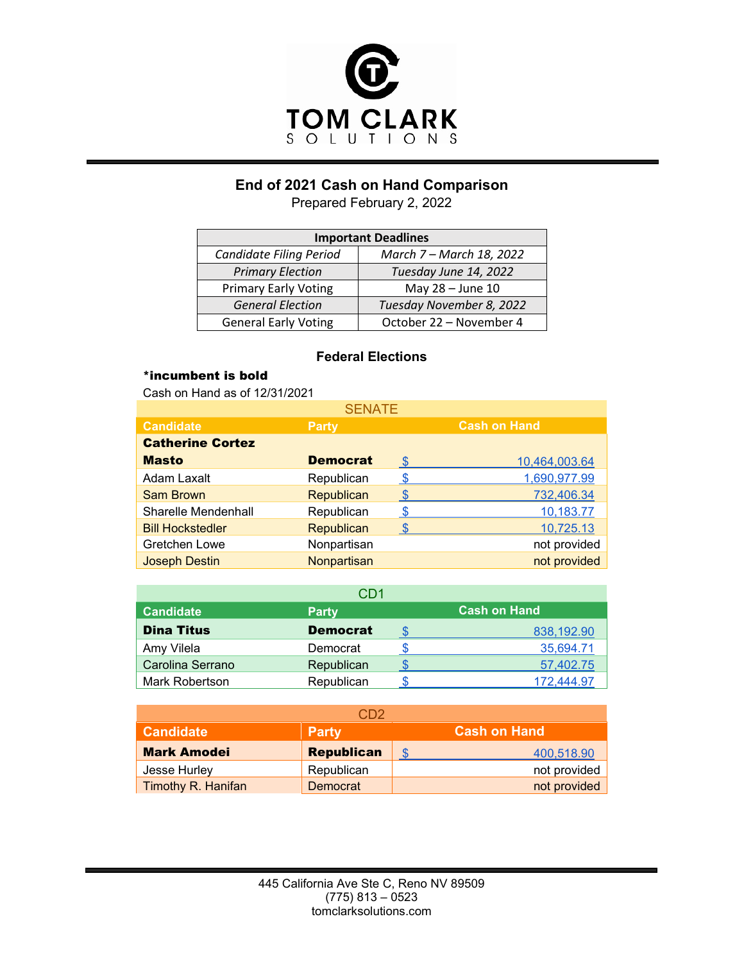

# **End of 2021 Cash on Hand Comparison**

Prepared February 2, 2022

| <b>Important Deadlines</b>                                 |                          |  |  |
|------------------------------------------------------------|--------------------------|--|--|
| <b>Candidate Filing Period</b><br>March 7 – March 18, 2022 |                          |  |  |
| <b>Primary Election</b>                                    | Tuesday June 14, 2022    |  |  |
| <b>Primary Early Voting</b>                                | May 28 - June 10         |  |  |
| <b>General Election</b>                                    | Tuesday November 8, 2022 |  |  |
| <b>General Early Voting</b>                                | October 22 - November 4  |  |  |

#### **Federal Elections**

### \*incumbent is bold

Cash on Hand as of 12/31/2021

| <b>SENATE</b>           |                   |               |                     |  |  |
|-------------------------|-------------------|---------------|---------------------|--|--|
| <b>Candidate</b>        | <b>Party</b>      |               | <b>Cash on Hand</b> |  |  |
| <b>Catherine Cortez</b> |                   |               |                     |  |  |
| <b>Masto</b>            | <b>Democrat</b>   | <b>\$</b>     | 10,464,003.64       |  |  |
| <b>Adam Laxalt</b>      | Republican        | \$            | 1,690,977.99        |  |  |
| Sam Brown               | Republican        | <b>S</b>      | 732,406.34          |  |  |
| Sharelle Mendenhall     | Republican        | -SS           | 10,183.77           |  |  |
| <b>Bill Hockstedler</b> | <b>Republican</b> | $\mathcal{S}$ | 10,725.13           |  |  |
| Gretchen Lowe           | Nonpartisan       |               | not provided        |  |  |
| <b>Joseph Destin</b>    | Nonpartisan       |               | not provided        |  |  |

| CD1               |                 |  |                     |  |
|-------------------|-----------------|--|---------------------|--|
| <b>Candidate</b>  | <b>Party</b>    |  | <b>Cash on Hand</b> |  |
| <b>Dina Titus</b> | <b>Democrat</b> |  | 838,192.90          |  |
| Amy Vilela        | Democrat        |  | 35,694.71           |  |
| Carolina Serrano  | Republican      |  | 57,402.75           |  |
| Mark Robertson    | Republican      |  | 172.444.97          |  |

|                    | CD2               |                     |
|--------------------|-------------------|---------------------|
| <b>Candidate</b>   | <b>Party</b>      | <b>Cash on Hand</b> |
| <b>Mark Amodei</b> | <b>Republican</b> | 400,518.90          |
| Jesse Hurley       | Republican        | not provided        |
| Timothy R. Hanifan | Democrat          | not provided        |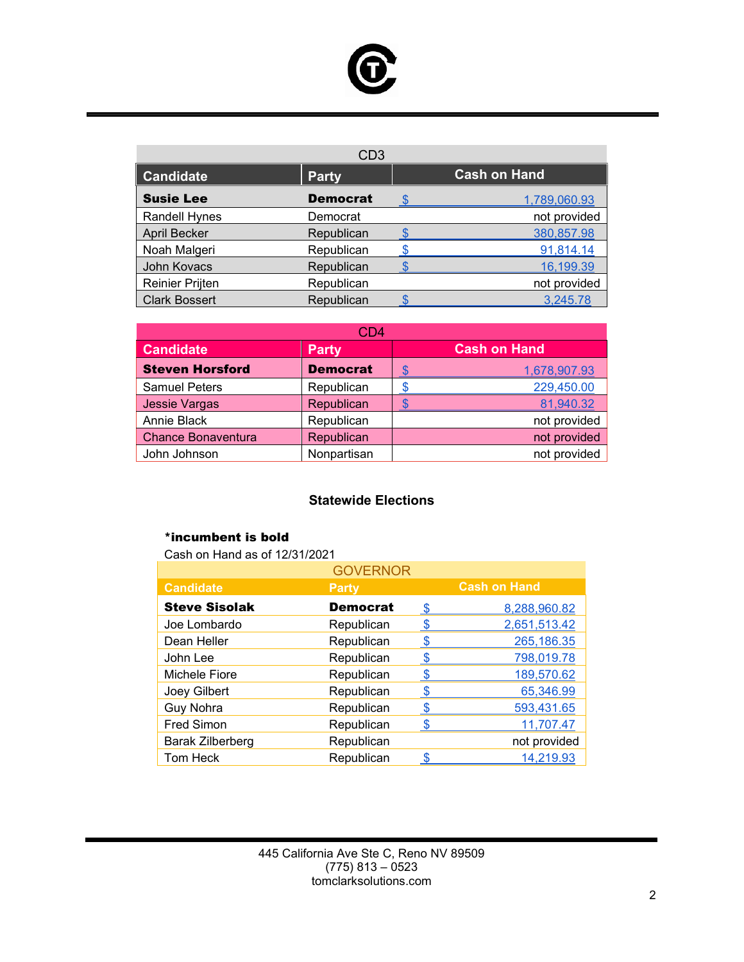

| CD <sub>3</sub>        |                 |  |                     |  |
|------------------------|-----------------|--|---------------------|--|
| <b>Candidate</b>       | <b>Party</b>    |  | <b>Cash on Hand</b> |  |
| <b>Susie Lee</b>       | <b>Democrat</b> |  | 1,789,060.93        |  |
| <b>Randell Hynes</b>   | Democrat        |  | not provided        |  |
| <b>April Becker</b>    | Republican      |  | 380,857.98          |  |
| Noah Malgeri           | Republican      |  | 91,814.14           |  |
| John Kovacs            | Republican      |  | 16,199.39           |  |
| <b>Reinier Prijten</b> | Republican      |  | not provided        |  |
| <b>Clark Bossert</b>   | Republican      |  | 3,245.78            |  |

| CD4                       |                 |                     |  |  |
|---------------------------|-----------------|---------------------|--|--|
| <b>Candidate</b>          | <b>Party</b>    | <b>Cash on Hand</b> |  |  |
| <b>Steven Horsford</b>    | <b>Democrat</b> | 1,678,907.93        |  |  |
| <b>Samuel Peters</b>      | Republican      | 229,450.00          |  |  |
| <b>Jessie Vargas</b>      | Republican      | 81,940.32           |  |  |
| Annie Black               | Republican      | not provided        |  |  |
| <b>Chance Bonaventura</b> | Republican      | not provided        |  |  |
| John Johnson              | Nonpartisan     | not provided        |  |  |

## **Statewide Elections**

#### \*incumbent is bold

Cash on Hand as of 12/31/2021

| <b>GOVERNOR</b>         |                 |      |                     |  |
|-------------------------|-----------------|------|---------------------|--|
| <b>Candidate</b>        | <b>Party</b>    |      | <b>Cash on Hand</b> |  |
| <b>Steve Sisolak</b>    | <b>Democrat</b> | - \$ | 8,288,960.82        |  |
| Joe Lombardo            | Republican      |      | 2,651,513.42        |  |
| Dean Heller             | Republican      |      | 265,186.35          |  |
| John Lee                | Republican      |      | 798,019.78          |  |
| Michele Fiore           | Republican      | S    | 189,570.62          |  |
| Joey Gilbert            | Republican      |      | 65,346.99           |  |
| Guy Nohra               | Republican      |      | 593,431.65          |  |
| <b>Fred Simon</b>       | Republican      |      | 11,707.47           |  |
| <b>Barak Zilberberg</b> | Republican      |      | not provided        |  |
| Tom Heck                | Republican      |      | 14,219.93           |  |